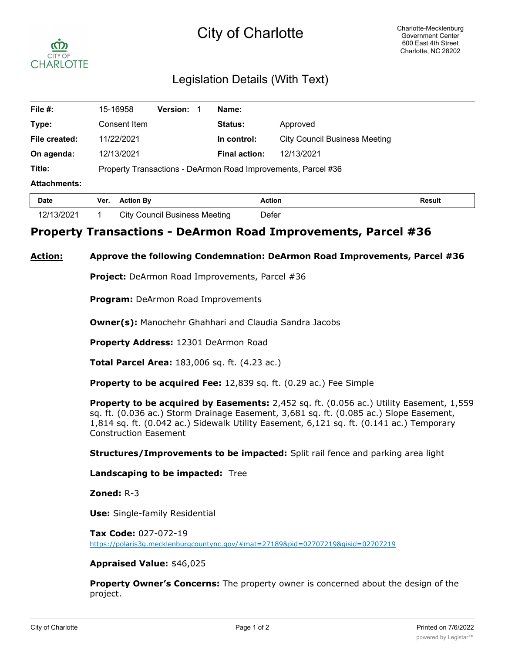# City of Charlotte



## Legislation Details (With Text)

| File #:             | 15-16958                                                      | <b>Version:</b> | Name:                |                                      |        |
|---------------------|---------------------------------------------------------------|-----------------|----------------------|--------------------------------------|--------|
| Type:               | Consent Item                                                  |                 | Status:              | Approved                             |        |
| File created:       | 11/22/2021                                                    |                 | In control:          | <b>City Council Business Meeting</b> |        |
| On agenda:          | 12/13/2021                                                    |                 | <b>Final action:</b> | 12/13/2021                           |        |
| Title:              | Property Transactions - DeArmon Road Improvements, Parcel #36 |                 |                      |                                      |        |
| <b>Attachments:</b> |                                                               |                 |                      |                                      |        |
| <b>Date</b>         | <b>Action By</b><br>Ver.                                      |                 | <b>Action</b>        |                                      | Result |

12/13/2021 1 City Council Business Meeting Defer

### **Property Transactions - DeArmon Road Improvements, Parcel #36**

#### **Action: Approve the following Condemnation: DeArmon Road Improvements, Parcel #36**

**Project:** DeArmon Road Improvements, Parcel #36

**Program:** DeArmon Road Improvements

**Owner(s):** Manochehr Ghahhari and Claudia Sandra Jacobs

**Property Address:** 12301 DeArmon Road

**Total Parcel Area:** 183,006 sq. ft. (4.23 ac.)

**Property to be acquired Fee:** 12,839 sq. ft. (0.29 ac.) Fee Simple

**Property to be acquired by Easements:** 2,452 sq. ft. (0.056 ac.) Utility Easement, 1,559 sq. ft. (0.036 ac.) Storm Drainage Easement, 3,681 sq. ft. (0.085 ac.) Slope Easement, 1,814 sq. ft. (0.042 ac.) Sidewalk Utility Easement, 6,121 sq. ft. (0.141 ac.) Temporary Construction Easement

**Structures/Improvements to be impacted:** Split rail fence and parking area light

**Landscaping to be impacted:** Tree

**Zoned:** R-3

**Use:** Single-family Residential

**Tax Code:** 027-072-19 https://polaris3g.mecklenburgcountync.gov/#mat=27189&pid=02707219&gisid=02707219

#### **Appraised Value:** \$46,025

**Property Owner's Concerns:** The property owner is concerned about the design of the project.